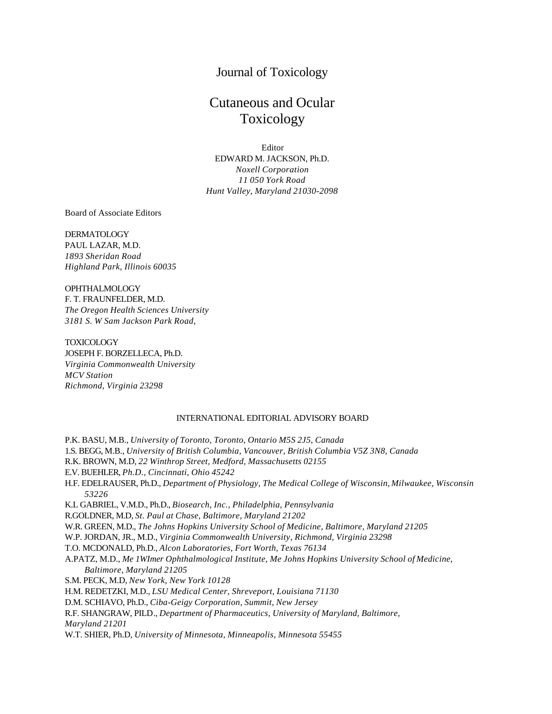## Journal of Toxicology

# Cutaneous and Ocular Toxicology

Editor EDWARD M. JACKSON, Ph.D. *Noxell Corporation 11 050 York Road Hunt Valley, Maryland 21030-2098*

Board of Associate Editors

### DERMATOLOGY PAUL LAZAR, M.D. *1893 Sheridan Road Highland Park, Illinois 60035*

OPHTHALMOLOGY F. T. FRAUNFELDER, M.D. *The Oregon Health Sciences University 3181 S. W Sam Jackson Park Road,*

TOXICOLOGY JOSEPH F. BORZELLECA, Ph.D. *Virginia Commonwealth University MCV Station Richmond, Virginia 23298*

#### INTERNATIONAL EDITORIAL ADVISORY BOARD

P.K. BASU, M.B., *University of Toronto, Toronto, Ontario M5S 2J5, Canada* 1.S. BEGG, M.B., *University of British Columbia, Vancouver, British Columbia V5Z 3N8, Canada* R.K. BROWN, M.D, *22 Winthrop Street, Medford, Massachusetts 02155* E.V. BUEHLER, *Ph.D., Cincinnati, Ohio 45242* H.F. EDELRAUSER, Ph.D., *Department of Physiology, The Medical College of Wisconsin, Milwaukee, Wisconsin 53226* K.L GABRIEL, V.M.D., Ph.D., *Biosearch, Inc., Philadelphia, Pennsylvania* R.GOLDNER, M.D, *St. Paul at Chase, Baltimore, Maryland 21202* W.R. GREEN, M.D., *The Johns Hopkins University School of Medicine, Baltimore, Maryland 21205* W.P. JORDAN, JR., M.D., *Virginia Commonwealth University, Richmond, Virginia 23298* T.O. MCDONALD, Ph.D., *Alcon Laboratories, Fort Worth, Texas 76134* A.PATZ, M.D., *Me 1WImer Ophthalmological Institute, Me Johns Hopkins University School of Medicine, Baltimore, Maryland 21205* S.M. PECK, M.D, *New York, New York 10128* H.M. REDETZKI, M.D., *LSU Medical Center, Shreveport, Louisiana 71130* D.M. SCHIAVO, Ph.D., *Ciba-Geigy Corporation, Summit, New Jersey* R.F. SHANGRAW, PILD., *Department of Pharmaceutics, University of Maryland, Baltimore, Maryland 21201* W.T. SHIER, Ph.D, *University of Minnesota, Minneapolis, Minnesota 55455*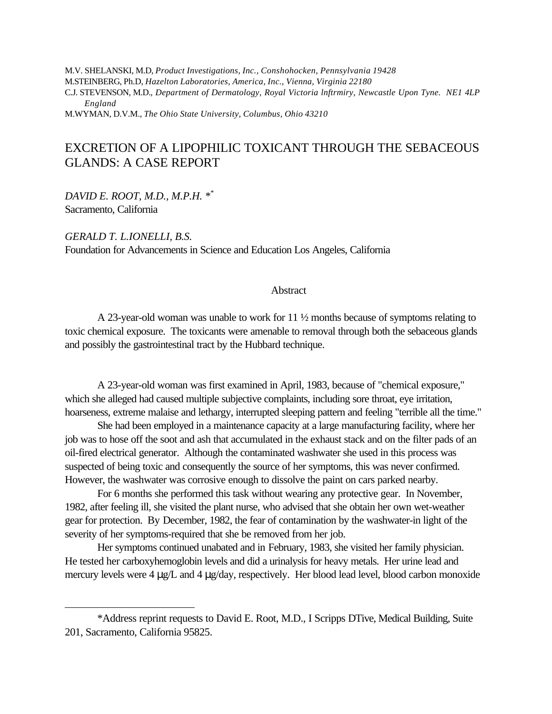M.V. SHELANSKI, M.D, *Product Investigations, Inc., Conshohocken, Pennsylvania 19428* M.STEINBERG, Ph.D, *Hazelton Laboratories, America, Inc., Vienna, Virginia 22180* C.J. STEVENSON, M.D., *Department of Dermatology, Royal Victoria lnftrmiry, Newcastle Upon Tyne. NE1 4LP England* M.WYMAN, D.V.M., *The Ohio State University, Columbus, Ohio 43210*

EXCRETION OF A LIPOPHILIC TOXICANT THROUGH THE SEBACEOUS GLANDS: A CASE REPORT

*DAVID E. ROOT, M.D., M.P.H. \*\** Sacramento, California

 $\overline{a}$ 

*GERALD T. L.IONELLI, B.S.* Foundation for Advancements in Science and Education Los Angeles, California

## **Abstract**

A 23-year-old woman was unable to work for 11 ½ months because of symptoms relating to toxic chemical exposure. The toxicants were amenable to removal through both the sebaceous glands and possibly the gastrointestinal tract by the Hubbard technique.

A 23-year-old woman was first examined in April, 1983, because of "chemical exposure," which she alleged had caused multiple subjective complaints, including sore throat, eye irritation, hoarseness, extreme malaise and lethargy, interrupted sleeping pattern and feeling "terrible all the time."

She had been employed in a maintenance capacity at a large manufacturing facility, where her job was to hose off the soot and ash that accumulated in the exhaust stack and on the filter pads of an oil-fired electrical generator. Although the contaminated washwater she used in this process was suspected of being toxic and consequently the source of her symptoms, this was never confirmed. However, the washwater was corrosive enough to dissolve the paint on cars parked nearby.

For 6 months she performed this task without wearing any protective gear. In November, 1982, after feeling ill, she visited the plant nurse, who advised that she obtain her own wet-weather gear for protection. By December, 1982, the fear of contamination by the washwater-in light of the severity of her symptoms-required that she be removed from her job.

Her symptoms continued unabated and in February, 1983, she visited her family physician. He tested her carboxyhemoglobin levels and did a urinalysis for heavy metals. Her urine lead and mercury levels were 4 μg/L and 4 μg/day, respectively. Her blood lead level, blood carbon monoxide

<sup>\*</sup>Address reprint requests to David E. Root, M.D., I Scripps DTive, Medical Building, Suite 201, Sacramento, California 95825.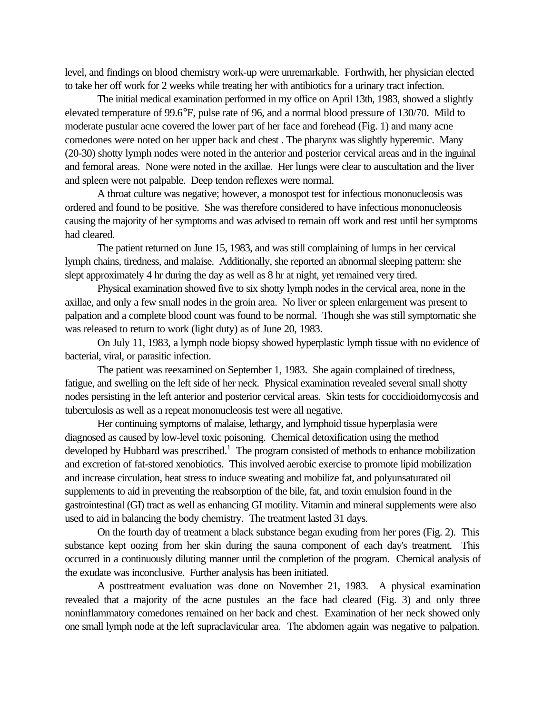level, and findings on blood chemistry work-up were unremarkable. Forthwith, her physician elected to take her off work for 2 weeks while treating her with antibiotics for a urinary tract infection.

The initial medical examination performed in my office on April 13th, 1983, showed a slightly elevated temperature of 99.6°F, pulse rate of 96, and a normal blood pressure of 130/70. Mild to moderate pustular acne covered the lower part of her face and forehead (Fig. 1) and many acne comedones were noted on her upper back and chest . The pharynx was slightly hyperemic. Many (20-30) shotty lymph nodes were noted in the anterior and posterior cervical areas and in the inguinal and femoral areas. None were noted in the axillae. Her lungs were clear to auscultation and the liver and spleen were not palpable. Deep tendon reflexes were normal.

A throat culture was negative; however, a monospot test for infectious mononucleosis was ordered and found to be positive. She was therefore considered to have infectious mononucleosis causing the majority of her symptoms and was advised to remain off work and rest until her symptoms had cleared.

The patient returned on June 15, 1983, and was still complaining of lumps in her cervical lymph chains, tiredness, and malaise. Additionally, she reported an abnormal sleeping pattern: she slept approximately 4 hr during the day as well as 8 hr at night, yet remained very tired.

Physical examination showed five to six shotty lymph nodes in the cervical area, none in the axillae, and only a few small nodes in the groin area. No liver or spleen enlargement was present to palpation and a complete blood count was found to be normal. Though she was still symptomatic she was released to return to work (light duty) as of June 20, 1983.

On July 11, 1983, a lymph node biopsy showed hyperplastic lymph tissue with no evidence of bacterial, viral, or parasitic infection.

The patient was reexamined on September 1, 1983. She again complained of tiredness, fatigue, and swelling on the left side of her neck. Physical examination revealed several small shotty nodes persisting in the left anterior and posterior cervical areas. Skin tests for coccidioidomycosis and tuberculosis as well as a repeat mononucleosis test were all negative.

Her continuing symptoms of malaise, lethargy, and lymphoid tissue hyperplasia were diagnosed as caused by low-level toxic poisoning. Chemical detoxification using the method developed by Hubbard was prescribed.<sup>1</sup> The program consisted of methods to enhance mobilization and excretion of fat-stored xenobiotics. This involved aerobic exercise to promote lipid mobilization and increase circulation, heat stress to induce sweating and mobilize fat, and polyunsaturated oil supplements to aid in preventing the reabsorption of the bile, fat, and toxin emulsion found in the gastrointestinal (GI) tract as well as enhancing GI motility. Vitamin and mineral supplements were also used to aid in balancing the body chemistry. The treatment lasted 31 days.

On the fourth day of treatment a black substance began exuding from her pores (Fig. 2). This substance kept oozing from her skin during the sauna component of each day's treatment. This occurred in a continuously diluting manner until the completion of the program. Chemical analysis of the exudate was inconclusive. Further analysis has been initiated.

A posttreatment evaluation was done on November 21, 1983. A physical examination revealed that a majority of the acne pustules an the face had cleared (Fig. 3) and only three noninflammatory comedones remained on her back and chest. Examination of her neck showed only one small lymph node at the left supraclavicular area. The abdomen again was negative to palpation.